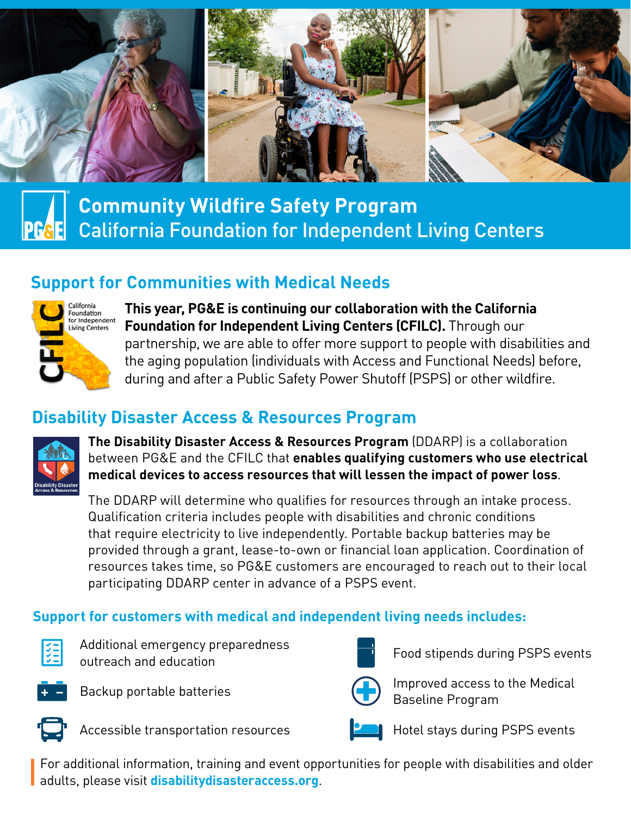

# **Community Wildfire Safety Program** California Foundation for Independent Living Centers

# **Support for Communities with Medical Needs**



**This year, PG&E is continuing our collaboration with the California Foundation for Independent Living Centers (CFILC).** Through our partnership, we are able to offer more support to people with disabilities and the aging population (individuals with Access and Functional Needs) before, during and after a Public Safety Power Shutoff (PSPS) or other wildfire.

# **Disability Disaster Access & Resources Program**



**The Disability Disaster Access & Resources Program** (DDARP) is a collaboration between PG&E and the CFILC that **enables qualifying customers who use electrical medical devices to access resources that will lessen the impact of power loss**.

The DDARP will determine who qualifies for resources through an intake process. Qualification criteria includes people with disabilities and chronic conditions that require electricity to live independently. Portable backup batteries may be provided through a grant, lease-to-own or financial loan application. Coordination of resources takes time, so PG&E customers are encouraged to reach out to their local participating DDARP center in advance of a PSPS event.

## **Support for customers with medical and independent living needs includes:**



Additional emergency preparedness Additional emergency preparedness<br>outreach and education







Backup portable batteries **Improved access to the Medical** Baseline Program



Accessible transportation resources **Hotel Stays during PSPS events** 

For additional information, training and event opportunities for people with disabilities and older adults, please visit **[disabilitydisasteraccess.org](https://disabilitydisasteraccess.org/)**.